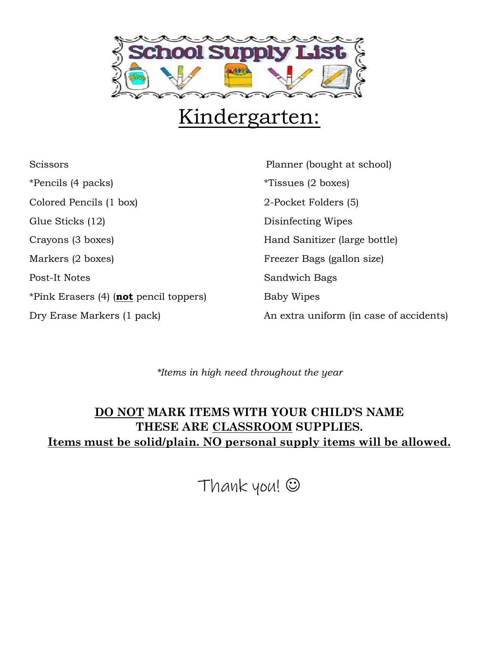

## Kindergarten:

Scissors **Planner** (bought at school) \*Pencils (4 packs) \*Tissues (2 boxes) Colored Pencils (1 box) 2-Pocket Folders (5) Glue Sticks (12) Disinfecting Wipes Crayons (3 boxes) Fand Sanitizer (large bottle) Markers (2 boxes) Freezer Bags (gallon size) Post-It Notes Sandwich Bags \*Pink Erasers (4) (**not** pencil toppers) Baby Wipes Dry Erase Markers (1 pack) An extra uniform (in case of accidents)

*\*Items in high need throughout the year*

### **DO NOT MARK ITEMS WITH YOUR CHILD'S NAME THESE ARE CLASSROOM SUPPLIES. Items must be solid/plain. NO personal supply items will be allowed.**

Thank you! ☺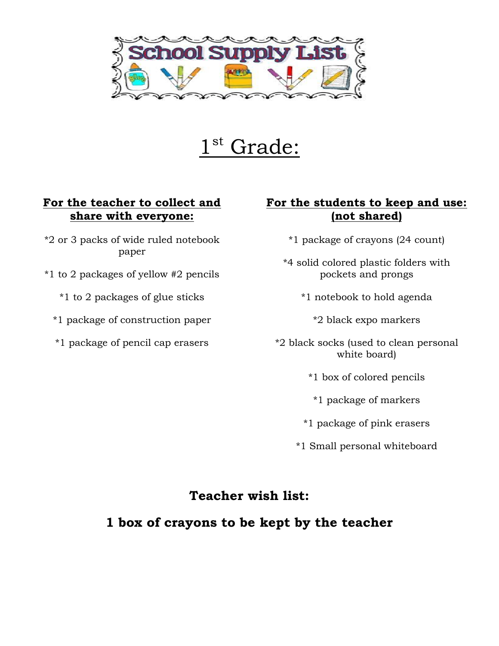

1 st Grade:

#### **For the teacher to collect and share with everyone:**

- \*2 or 3 packs of wide ruled notebook paper
- \*1 to 2 packages of yellow #2 pencils
	- \*1 to 2 packages of glue sticks
	- \*1 package of construction paper
	- \*1 package of pencil cap erasers

#### **For the students to keep and use: (not shared)**

- \*1 package of crayons (24 count)
- \*4 solid colored plastic folders with pockets and prongs
	- \*1 notebook to hold agenda
		- \*2 black expo markers
- \*2 black socks (used to clean personal white board)
	- \*1 box of colored pencils
	- \*1 package of markers
	- \*1 package of pink erasers
	- \*1 Small personal whiteboard

#### **Teacher wish list:**

#### **1 box of crayons to be kept by the teacher**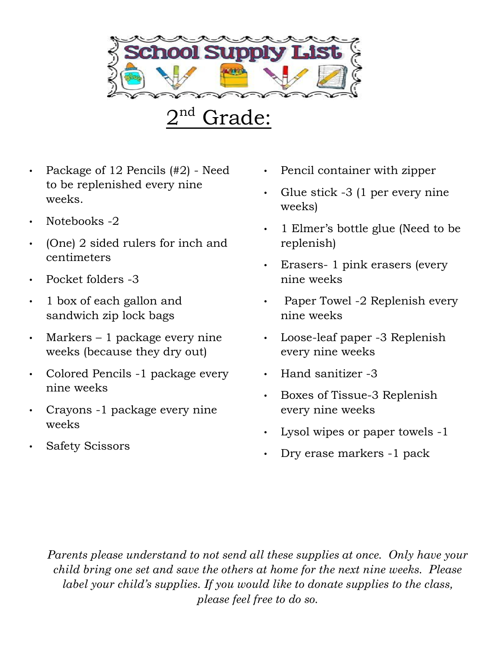

 2  $2<sup>nd</sup>$  Grade:

- Package of 12 Pencils (#2) Need to be replenished every nine weeks.
- Notebooks -2
- (One) 2 sided rulers for inch and centimeters
- Pocket folders -3
- 1 box of each gallon and sandwich zip lock bags
- Markers  $-1$  package every nine weeks (because they dry out)
- Colored Pencils -1 package every nine weeks
- Crayons -1 package every nine weeks
- Safety Scissors
- Pencil container with zipper
- Glue stick -3 (1 per every nine weeks)
- 1 Elmer's bottle glue (Need to be replenish)
- Erasers- 1 pink erasers (every nine weeks
- Paper Towel -2 Replenish every nine weeks
- Loose-leaf paper -3 Replenish every nine weeks
- Hand sanitizer -3
- Boxes of Tissue-3 Replenish every nine weeks
- Lysol wipes or paper towels -1
- Dry erase markers -1 pack

*Parents please understand to not send all these supplies at once. Only have your child bring one set and save the others at home for the next nine weeks. Please label your child's supplies. If you would like to donate supplies to the class, please feel free to do so.*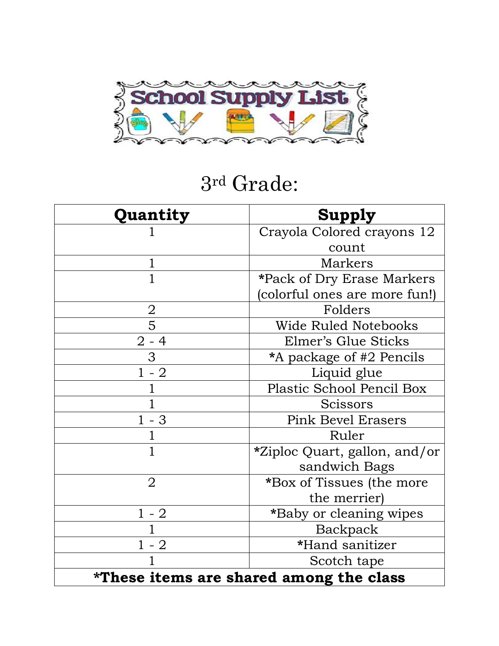

## 3rd Grade:

| Quantity                                | <b>Supply</b>                 |
|-----------------------------------------|-------------------------------|
|                                         | Crayola Colored crayons 12    |
|                                         | count                         |
| 1                                       | Markers                       |
| 1                                       | *Pack of Dry Erase Markers    |
|                                         | (colorful ones are more fun!) |
|                                         | Folders                       |
| $\frac{2}{5}$                           | <b>Wide Ruled Notebooks</b>   |
| $2 - 4$                                 | Elmer's Glue Sticks           |
| 3                                       | *A package of #2 Pencils      |
| $1 - 2$                                 | Liquid glue                   |
|                                         | Plastic School Pencil Box     |
|                                         | <b>Scissors</b>               |
| $1 - 3$                                 | <b>Pink Bevel Erasers</b>     |
|                                         | Ruler                         |
| $\mathbf{1}$                            | *Ziploc Quart, gallon, and/or |
|                                         | sandwich Bags                 |
| $\overline{2}$                          | *Box of Tissues (the more     |
|                                         | the merrier)                  |
| $1 - 2$                                 | *Baby or cleaning wipes       |
|                                         | Backpack                      |
| $1 - 2$                                 | *Hand sanitizer               |
|                                         | Scotch tape                   |
| *These items are shared among the class |                               |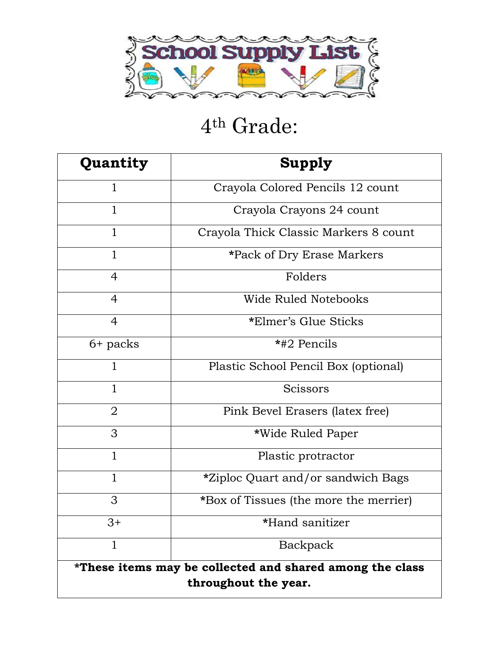

# th Grade:

| Quantity                                                                         | Supply                                    |
|----------------------------------------------------------------------------------|-------------------------------------------|
| 1                                                                                | Crayola Colored Pencils 12 count          |
| $\mathbf{1}$                                                                     | Crayola Crayons 24 count                  |
| $\mathbf{1}$                                                                     | Crayola Thick Classic Markers 8 count     |
| $\mathbf{1}$                                                                     | *Pack of Dry Erase Markers                |
| $\overline{4}$                                                                   | Folders                                   |
| $\overline{4}$                                                                   | Wide Ruled Notebooks                      |
| $\overline{4}$                                                                   | *Elmer's Glue Sticks                      |
| $6+$ packs                                                                       | *#2 Pencils                               |
| $\mathbf{1}$                                                                     | Plastic School Pencil Box (optional)      |
| $\mathbf{1}$                                                                     | Scissors                                  |
| $\overline{2}$                                                                   | Pink Bevel Erasers (latex free)           |
| 3                                                                                | *Wide Ruled Paper                         |
| $\mathbf{1}$                                                                     | Plastic protractor                        |
| $\mathbf{1}$                                                                     | <i>*Ziploc Quart and/or sandwich Bags</i> |
| 3                                                                                | *Box of Tissues (the more the merrier)    |
| $3+$                                                                             | *Hand sanitizer                           |
| 1                                                                                | Backpack                                  |
| *These items may be collected and shared among the class<br>throughout the year. |                                           |